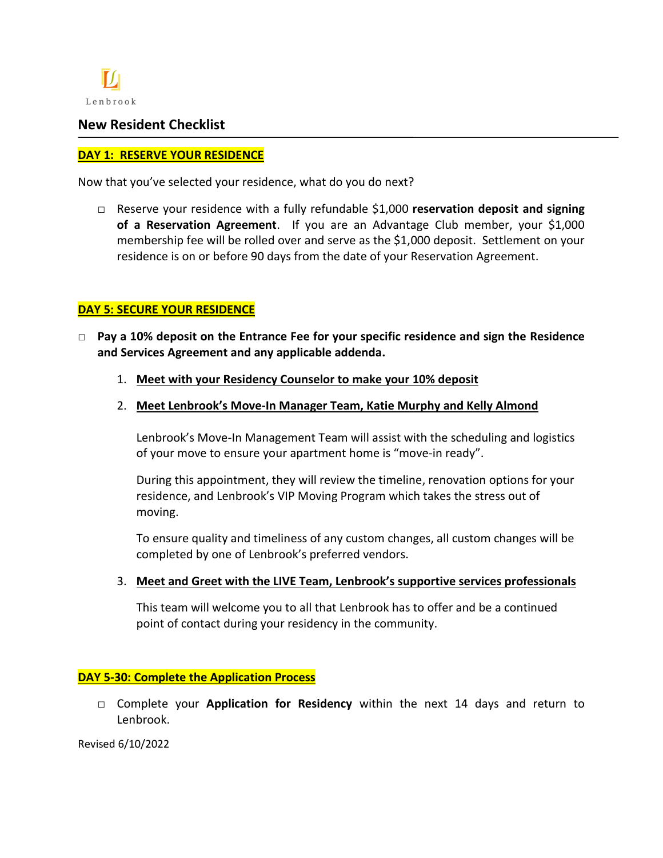

## **New Resident Checklist**

#### **DAY 1: RESERVE YOUR RESIDENCE**

Now that you've selected your residence, what do you do next?

**□** Reserve your residence with a fully refundable \$1,000 **reservation deposit and signing of a Reservation Agreement**. If you are an Advantage Club member, your \$1,000 membership fee will be rolled over and serve as the \$1,000 deposit. Settlement on your residence is on or before 90 days from the date of your Reservation Agreement.

## **DAY 5: SECURE YOUR RESIDENCE**

- **□ Pay a 10% deposit on the Entrance Fee for your specific residence and sign the Residence and Services Agreement and any applicable addenda.** 
	- 1. **Meet with your Residency Counselor to make your 10% deposit**
	- 2. **Meet Lenbrook's Move-In Manager Team, Katie Murphy and Kelly Almond**

Lenbrook's Move-In Management Team will assist with the scheduling and logistics of your move to ensure your apartment home is "move-in ready".

During this appointment, they will review the timeline, renovation options for your residence, and Lenbrook's VIP Moving Program which takes the stress out of moving.

To ensure quality and timeliness of any custom changes, all custom changes will be completed by one of Lenbrook's preferred vendors.

3. **Meet and Greet with the LIVE Team, Lenbrook's supportive services professionals**

This team will welcome you to all that Lenbrook has to offer and be a continued point of contact during your residency in the community.

#### **DAY 5-30: Complete the Application Process**

**□** Complete your **Application for Residency** within the next 14 days and return to Lenbrook.

Revised 6/10/2022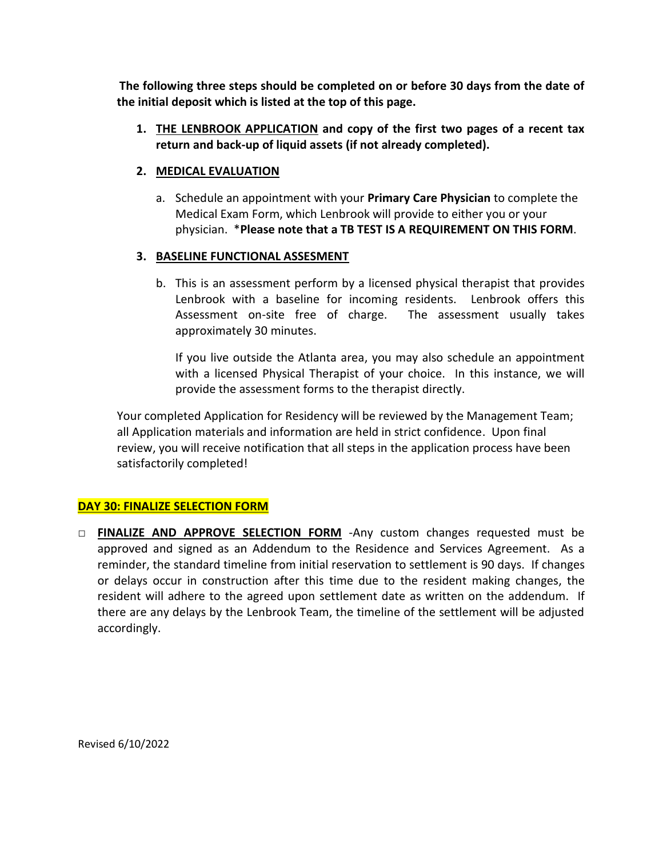**The following three steps should be completed on or before 30 days from the date of the initial deposit which is listed at the top of this page.**

**1. THE LENBROOK APPLICATION and copy of the first two pages of a recent tax return and back-up of liquid assets (if not already completed).**

#### **2. MEDICAL EVALUATION**

a. Schedule an appointment with your **Primary Care Physician** to complete the Medical Exam Form, which Lenbrook will provide to either you or your physician. \***Please note that a TB TEST IS A REQUIREMENT ON THIS FORM**.

### **3. BASELINE FUNCTIONAL ASSESMENT**

b. This is an assessment perform by a licensed physical therapist that provides Lenbrook with a baseline for incoming residents. Lenbrook offers this Assessment on-site free of charge. The assessment usually takes approximately 30 minutes.

If you live outside the Atlanta area, you may also schedule an appointment with a licensed Physical Therapist of your choice. In this instance, we will provide the assessment forms to the therapist directly.

Your completed Application for Residency will be reviewed by the Management Team; all Application materials and information are held in strict confidence. Upon final review, you will receive notification that all steps in the application process have been satisfactorily completed!

## **DAY 30: FINALIZE SELECTION FORM**

**□ FINALIZE AND APPROVE SELECTION FORM** -Any custom changes requested must be approved and signed as an Addendum to the Residence and Services Agreement. As a reminder, the standard timeline from initial reservation to settlement is 90 days. If changes or delays occur in construction after this time due to the resident making changes, the resident will adhere to the agreed upon settlement date as written on the addendum. If there are any delays by the Lenbrook Team, the timeline of the settlement will be adjusted accordingly.

Revised 6/10/2022